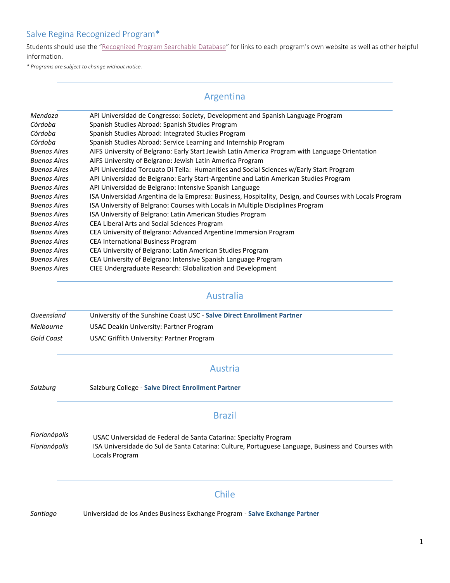Students should use the "[Recognized Program Searchable Database](http://www.salve.edu/recognized-semester-study-abroad-programs)" for links to each program's own website as well as other helpful information.

*\* Programs are subject to change without notice.*

### Argentina

| Mendoza             | API Universidad de Congresso: Society, Development and Spanish Language Program                         |
|---------------------|---------------------------------------------------------------------------------------------------------|
| Córdoba             | Spanish Studies Abroad: Spanish Studies Program                                                         |
| Córdoba             | Spanish Studies Abroad: Integrated Studies Program                                                      |
| Córdoba             | Spanish Studies Abroad: Service Learning and Internship Program                                         |
| <b>Buenos Aires</b> | AIFS University of Belgrano: Early Start Jewish Latin America Program with Language Orientation         |
| <b>Buenos Aires</b> | AIFS University of Belgrano: Jewish Latin America Program                                               |
| <b>Buenos Aires</b> | API Universidad Torcuato Di Tella: Humanities and Social Sciences w/Early Start Program                 |
| <b>Buenos Aires</b> | API Universidad de Belgrano: Early Start-Argentine and Latin American Studies Program                   |
| <b>Buenos Aires</b> | API Universidad de Belgrano: Intensive Spanish Language                                                 |
| <b>Buenos Aires</b> | ISA Universidad Argentina de la Empresa: Business, Hospitality, Design, and Courses with Locals Program |
| <b>Buenos Aires</b> | ISA University of Belgrano: Courses with Locals in Multiple Disciplines Program                         |
| <b>Buenos Aires</b> | ISA University of Belgrano: Latin American Studies Program                                              |
| <b>Buenos Aires</b> | CEA Liberal Arts and Social Sciences Program                                                            |
| <b>Buenos Aires</b> | CEA University of Belgrano: Advanced Argentine Immersion Program                                        |
| <b>Buenos Aires</b> | <b>CEA International Business Program</b>                                                               |
| <b>Buenos Aires</b> | CEA University of Belgrano: Latin American Studies Program                                              |
| <b>Buenos Aires</b> | CEA University of Belgrano: Intensive Spanish Language Program                                          |
| <b>Buenos Aires</b> | CIEE Undergraduate Research: Globalization and Development                                              |

#### Australia

| Queensland | University of the Sunshine Coast USC - Salve Direct Enrollment Partner |
|------------|------------------------------------------------------------------------|
| Melbourne  | USAC Deakin University: Partner Program                                |
| Gold Coast | USAC Griffith University: Partner Program                              |

#### Austria

#### *Salzburg* Salzburg College - **Salve Direct Enrollment Partner**

#### Brazil

*Florianópolis* USAC Universidad de Federal de Santa Catarina: Specialty Program *Florianópolis* ISA Universidade do Sul de Santa Catarina: Culture, Portuguese Language, Business and Courses with Locals Program

#### Chile

*Santiago* Universidad de los Andes Business Exchange Program - **Salve Exchange Partner**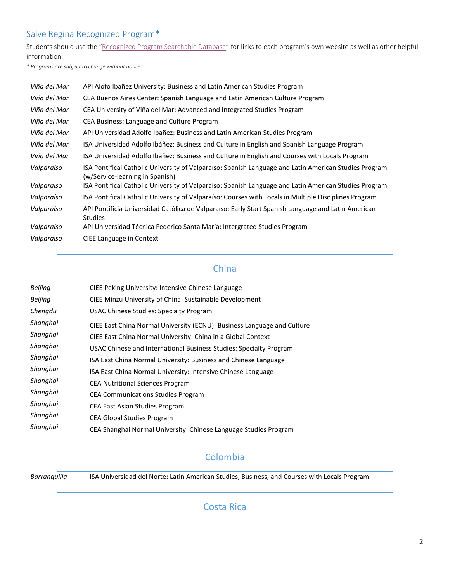Students should use the "[Recognized Program Searchable Database](http://www.salve.edu/recognized-semester-study-abroad-programs)" for links to each program's own website as well as other helpful information.

*\* Programs are subject to change without notice.*

| Viña del Mar | API Alofo Ibañez University: Business and Latin American Studies Program                                                                 |
|--------------|------------------------------------------------------------------------------------------------------------------------------------------|
| Viña del Mar | CEA Buenos Aires Center: Spanish Language and Latin American Culture Program                                                             |
| Viña del Mar | CEA University of Viña del Mar: Advanced and Integrated Studies Program                                                                  |
| Viña del Mar | CEA Business: Language and Culture Program                                                                                               |
| Viña del Mar | API Universidad Adolfo Ibáñez: Business and Latin American Studies Program                                                               |
| Viña del Mar | ISA Universidad Adolfo Ibáñez: Business and Culture in English and Spanish Language Program                                              |
| Viña del Mar | ISA Universidad Adolfo Ibáñez: Business and Culture in English and Courses with Locals Program                                           |
| Valparaíso   | ISA Pontifical Catholic University of Valparaíso: Spanish Language and Latin American Studies Program<br>(w/Service-learning in Spanish) |
| Valparaíso   | ISA Pontifical Catholic University of Valparaíso: Spanish Language and Latin American Studies Program                                    |
| Valparaíso   | ISA Pontifical Catholic University of Valparaíso: Courses with Locals in Multiple Disciplines Program                                    |
| Valparaíso   | API Pontificia Universidad Católica de Valparaíso: Early Start Spanish Language and Latin American<br><b>Studies</b>                     |
| Valparaíso   | API Universidad Técnica Federico Santa María: Intergrated Studies Program                                                                |
| Valparaíso   | CIEE Language in Context                                                                                                                 |

# China

| Beijing  | CIEE Peking University: Intensive Chinese Language                      |
|----------|-------------------------------------------------------------------------|
| Beijing  | CIEE Minzu University of China: Sustainable Development                 |
| Chengdu  | <b>USAC Chinese Studies: Specialty Program</b>                          |
| Shanghai | CIEE East China Normal University (ECNU): Business Language and Culture |
| Shanghai | CIEE East China Normal University: China in a Global Context            |
| Shanghai | USAC Chinese and International Business Studies: Specialty Program      |
| Shanghai | ISA East China Normal University: Business and Chinese Language         |
| Shanghai | ISA East China Normal University: Intensive Chinese Language            |
| Shanghai | <b>CEA Nutritional Sciences Program</b>                                 |
| Shanghai | <b>CEA Communications Studies Program</b>                               |
| Shanghai | <b>CEA East Asian Studies Program</b>                                   |
| Shanghai | <b>CEA Global Studies Program</b>                                       |
| Shanghai | CEA Shanghai Normal University: Chinese Language Studies Program        |
|          |                                                                         |

# Colombia

*Barranquilla* ISA Universidad del Norte: Latin American Studies, Business, and Courses with Locals Program

### Costa Rica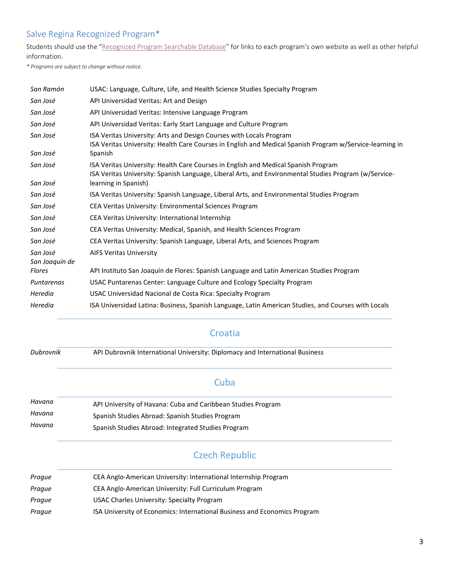Students should use the "[Recognized Program Searchable Database](http://www.salve.edu/recognized-semester-study-abroad-programs)" for links to each program's own website as well as other helpful information.

*\* Programs are subject to change without notice.*

| San Ramón                  | USAC: Language, Culture, Life, and Health Science Studies Specialty Program                                                                                                                 |
|----------------------------|---------------------------------------------------------------------------------------------------------------------------------------------------------------------------------------------|
| San José                   | API Universidad Veritas: Art and Design                                                                                                                                                     |
| San José                   | API Universidad Veritas: Intensive Language Program                                                                                                                                         |
| San José                   | API Universidad Veritas: Early Start Language and Culture Program                                                                                                                           |
| San José                   | ISA Veritas University: Arts and Design Courses with Locals Program<br>ISA Veritas University: Health Care Courses in English and Medical Spanish Program w/Service-learning in             |
| San José                   | Spanish                                                                                                                                                                                     |
| San José                   | ISA Veritas University: Health Care Courses in English and Medical Spanish Program<br>ISA Veritas University: Spanish Language, Liberal Arts, and Environmental Studies Program (w/Service- |
| San José                   | learning in Spanish)                                                                                                                                                                        |
| San José                   | ISA Veritas University: Spanish Language, Liberal Arts, and Environmental Studies Program                                                                                                   |
| San José                   | CEA Veritas University: Environmental Sciences Program                                                                                                                                      |
| San José                   | CEA Veritas University: International Internship                                                                                                                                            |
| San José                   | CEA Veritas University: Medical, Spanish, and Health Sciences Program                                                                                                                       |
| San José                   | CEA Veritas University: Spanish Language, Liberal Arts, and Sciences Program                                                                                                                |
| San José<br>San Joaquín de | <b>AIFS Veritas University</b>                                                                                                                                                              |
| Flores                     | API Instituto San Joaquín de Flores: Spanish Language and Latin American Studies Program                                                                                                    |
| Puntarenas                 | USAC Puntarenas Center: Language Culture and Ecology Specialty Program                                                                                                                      |
| Heredia                    | USAC Universidad Nacional de Costa Rica: Specialty Program                                                                                                                                  |
| Heredia                    | ISA Universidad Latina: Business, Spanish Language, Latin American Studies, and Courses with Locals                                                                                         |

### **Croatia**

*Dubrovnik* API Dubrovnik International University: Diplomacy and International Business

### **Cuba**

| Havana | API University of Havana: Cuba and Caribbean Studies Program |
|--------|--------------------------------------------------------------|
| Havana | Spanish Studies Abroad: Spanish Studies Program              |
| Havana | Spanish Studies Abroad: Integrated Studies Program           |

# Czech Republic

| Prague | CEA Anglo-American University: International Internship Program           |
|--------|---------------------------------------------------------------------------|
| Prague | CEA Anglo-American University: Full Curriculum Program                    |
| Prague | USAC Charles University: Specialty Program                                |
| Prague | ISA University of Economics: International Business and Economics Program |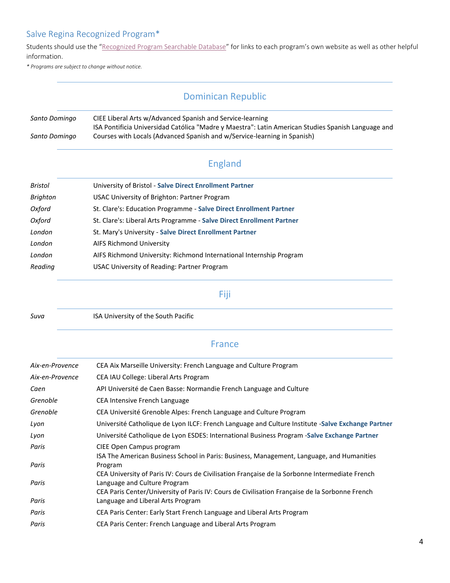Students should use the "[Recognized Program Searchable Database](http://www.salve.edu/recognized-semester-study-abroad-programs)" for links to each program's own website as well as other helpful information.

*\* Programs are subject to change without notice.*

### Dominican Republic

#### *Santo Domingo* CIEE Liberal Arts w/Advanced Spanish and Service-learning *Santo Domingo* ISA Pontificia Universidad Católica "Madre y Maestra": Latin American Studies Spanish Language and Courses with Locals (Advanced Spanish and w/Service-learning in Spanish)

### England

| University of Bristol - Salve Direct Enrollment Partner               |
|-----------------------------------------------------------------------|
| USAC University of Brighton: Partner Program                          |
| St. Clare's: Education Programme - Salve Direct Enrollment Partner    |
| St. Clare's: Liberal Arts Programme - Salve Direct Enrollment Partner |
| St. Mary's University - Salve Direct Enrollment Partner               |
| AIFS Richmond University                                              |
| AIFS Richmond University: Richmond International Internship Program   |
| USAC University of Reading: Partner Program                           |
|                                                                       |

#### Fiji

*Suva* ISA University of the South Pacific

#### France

| Aix-en-Provence | CEA Aix Marseille University: French Language and Culture Program                                                              |
|-----------------|--------------------------------------------------------------------------------------------------------------------------------|
| Aix-en-Provence | CEA IAU College: Liberal Arts Program                                                                                          |
| Caen            | API Université de Caen Basse: Normandie French Language and Culture                                                            |
| Grenoble        | CEA Intensive French Language                                                                                                  |
| Grenoble        | CEA Université Grenoble Alpes: French Language and Culture Program                                                             |
| Lyon            | Université Catholique de Lyon ILCF: French Language and Culture Institute -Salve Exchange Partner                              |
| Lyon            | Université Catholique de Lyon ESDES: International Business Program -Salve Exchange Partner                                    |
| Paris           | CIEE Open Campus program<br>ISA The American Business School in Paris: Business, Management, Language, and Humanities          |
| Paris           | Program<br>CEA University of Paris IV: Cours de Civilisation Française de la Sorbonne Intermediate French                      |
| Paris           | Language and Culture Program<br>CEA Paris Center/University of Paris IV: Cours de Civilisation Française de la Sorbonne French |
| Paris           | Language and Liberal Arts Program                                                                                              |
| Paris           | CEA Paris Center: Early Start French Language and Liberal Arts Program                                                         |
| Paris           | CEA Paris Center: French Language and Liberal Arts Program                                                                     |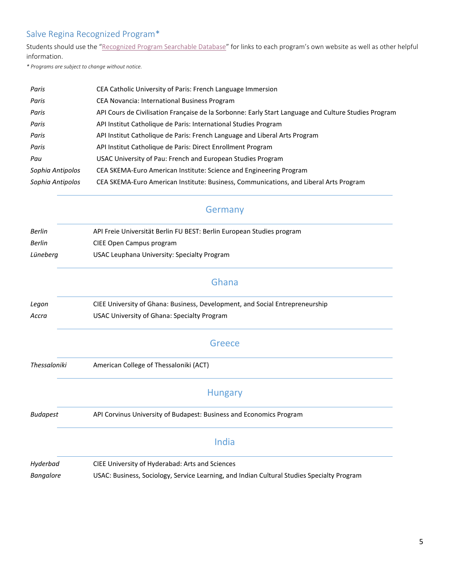Students should use the "[Recognized Program Searchable Database](http://www.salve.edu/recognized-semester-study-abroad-programs)" for links to each program's own website as well as other helpful information.

*\* Programs are subject to change without notice.*

| Paris            | CEA Catholic University of Paris: French Language Immersion                                          |
|------------------|------------------------------------------------------------------------------------------------------|
| Paris            | <b>CEA Novancia: International Business Program</b>                                                  |
| Paris            | API Cours de Civilisation Française de la Sorbonne: Early Start Language and Culture Studies Program |
| Paris            | API Institut Catholique de Paris: International Studies Program                                      |
| Paris            | API Institut Catholique de Paris: French Language and Liberal Arts Program                           |
| Paris            | API Institut Catholique de Paris: Direct Enrollment Program                                          |
| Pau              | USAC University of Pau: French and European Studies Program                                          |
| Sophia Antipolos | CEA SKEMA-Euro American Institute: Science and Engineering Program                                   |
| Sophia Antipolos | CEA SKEMA-Euro American Institute: Business, Communications, and Liberal Arts Program                |

### **Germany**

| Berlin   | API Freie Universität Berlin FU BEST: Berlin European Studies program |
|----------|-----------------------------------------------------------------------|
| Berlin   | CIEE Open Campus program                                              |
| Lüneberg | USAC Leuphana University: Specialty Program                           |
|          |                                                                       |

#### Ghana

| Legon | CIEE University of Ghana: Business, Development, and Social Entrepreneurship |
|-------|------------------------------------------------------------------------------|
| Accra | USAC University of Ghana: Specialty Program                                  |

#### Greece

*Thessaloniki* American College of Thessaloniki (ACT)

#### Hungary

- *Budapest* API Corvinus University of Budapest: Business and Economics Program India
- *Hyderbad* CIEE University of Hyderabad: Arts and Sciences *Bangalore* USAC: Business, Sociology, Service Learning, and Indian Cultural Studies Specialty Program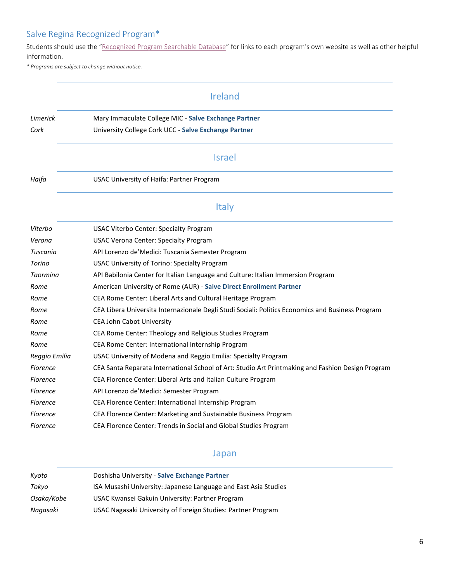Students should use the "[Recognized Program Searchable Database](http://www.salve.edu/recognized-semester-study-abroad-programs)" for links to each program's own website as well as other helpful information.

*\* Programs are subject to change without notice.*

|                 | Ireland                                                                                           |
|-----------------|---------------------------------------------------------------------------------------------------|
| Limerick        | Mary Immaculate College MIC - Salve Exchange Partner                                              |
| Cork            | University College Cork UCC - Salve Exchange Partner                                              |
|                 | <b>Israel</b>                                                                                     |
| Haifa           | USAC University of Haifa: Partner Program                                                         |
|                 | <b>Italy</b>                                                                                      |
| Viterbo         | <b>USAC Viterbo Center: Specialty Program</b>                                                     |
| Verona          | USAC Verona Center: Specialty Program                                                             |
| Tuscania        | API Lorenzo de'Medici: Tuscania Semester Program                                                  |
| Torino          | USAC University of Torino: Specialty Program                                                      |
| Taormina        | API Babilonia Center for Italian Language and Culture: Italian Immersion Program                  |
| Rome            | American University of Rome (AUR) - Salve Direct Enrollment Partner                               |
| Rome            | CEA Rome Center: Liberal Arts and Cultural Heritage Program                                       |
| Rome            | CEA Libera Universita Internazionale Degli Studi Sociali: Politics Economics and Business Program |
| Rome            | <b>CEA John Cabot University</b>                                                                  |
| Rome            | CEA Rome Center: Theology and Religious Studies Program                                           |
| Rome            | CEA Rome Center: International Internship Program                                                 |
| Reggio Emilia   | USAC University of Modena and Reggio Emilia: Specialty Program                                    |
| <b>Florence</b> | CEA Santa Reparata International School of Art: Studio Art Printmaking and Fashion Design Program |
| <b>Florence</b> | CEA Florence Center: Liberal Arts and Italian Culture Program                                     |
| <b>Florence</b> | API Lorenzo de'Medici: Semester Program                                                           |
| <b>Florence</b> | CEA Florence Center: International Internship Program                                             |
| <b>Florence</b> | CEA Florence Center: Marketing and Sustainable Business Program                                   |
| <b>Florence</b> | CEA Florence Center: Trends in Social and Global Studies Program                                  |

### Japan

| Kvoto      | Doshisha University - Salve Exchange Partner                    |
|------------|-----------------------------------------------------------------|
| Tokyo      | ISA Musashi University: Japanese Language and East Asia Studies |
| Osaka/Kobe | USAC Kwansei Gakuin University: Partner Program                 |
| Nagasaki   | USAC Nagasaki University of Foreign Studies: Partner Program    |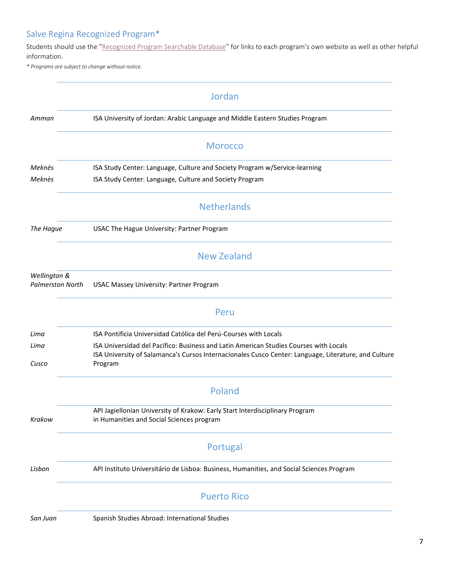Students should use the "[Recognized Program Searchable Database](http://www.salve.edu/recognized-semester-study-abroad-programs)" for links to each program's own website as well as other helpful information.

*\* Programs are subject to change without notice.*

|                                         | Jordan                                                                                                                                                                                                   |
|-----------------------------------------|----------------------------------------------------------------------------------------------------------------------------------------------------------------------------------------------------------|
| Amman                                   | ISA University of Jordan: Arabic Language and Middle Eastern Studies Program                                                                                                                             |
|                                         | <b>Morocco</b>                                                                                                                                                                                           |
| Meknès                                  | ISA Study Center: Language, Culture and Society Program w/Service-learning                                                                                                                               |
| Meknès                                  | ISA Study Center: Language, Culture and Society Program                                                                                                                                                  |
|                                         | <b>Netherlands</b>                                                                                                                                                                                       |
| The Hague                               | USAC The Hague University: Partner Program                                                                                                                                                               |
|                                         | <b>New Zealand</b>                                                                                                                                                                                       |
| Wellington &<br><b>Palmerston North</b> | USAC Massey University: Partner Program                                                                                                                                                                  |
|                                         | Peru                                                                                                                                                                                                     |
| Lima                                    | ISA Pontificia Universidad Católica del Perú-Courses with Locals                                                                                                                                         |
| Lima<br>Cusco                           | ISA Universidad del Pacífico: Business and Latin American Studies Courses with Locals<br>ISA University of Salamanca's Cursos Internacionales Cusco Center: Language, Literature, and Culture<br>Program |
|                                         | Poland                                                                                                                                                                                                   |
| Krakow                                  | API Jagiellonian University of Krakow: Early Start Interdisciplinary Program<br>in Humanities and Social Sciences program                                                                                |
|                                         | Portugal                                                                                                                                                                                                 |
| Lisbon                                  | API Instituto Universitário de Lisboa: Business, Humanities, and Social Sciences Program                                                                                                                 |
|                                         | <b>Puerto Rico</b>                                                                                                                                                                                       |
| San Juan                                | Spanish Studies Abroad: International Studies                                                                                                                                                            |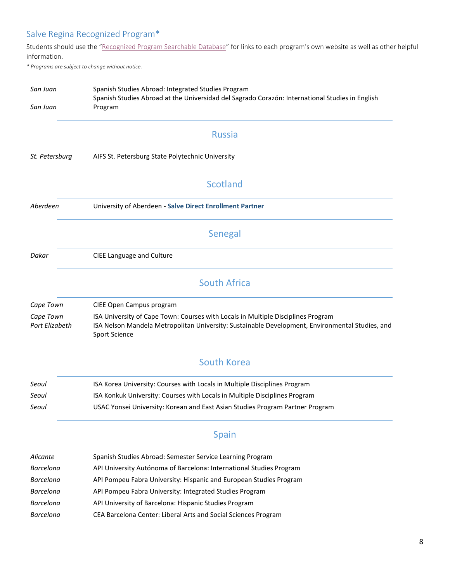Students should use the "[Recognized Program Searchable Database](http://www.salve.edu/recognized-semester-study-abroad-programs)" for links to each program's own website as well as other helpful information.

*\* Programs are subject to change without notice.*

| Spanish Studies Abroad at the Universidad del Sagrado Corazón: International Studies in English |
|-------------------------------------------------------------------------------------------------|
|                                                                                                 |
|                                                                                                 |
|                                                                                                 |
|                                                                                                 |
|                                                                                                 |
|                                                                                                 |
|                                                                                                 |
|                                                                                                 |
|                                                                                                 |
| ISA Nelson Mandela Metropolitan University: Sustainable Development, Environmental Studies, and |
|                                                                                                 |
|                                                                                                 |
|                                                                                                 |
|                                                                                                 |
|                                                                                                 |
|                                                                                                 |
|                                                                                                 |
|                                                                                                 |
|                                                                                                 |
|                                                                                                 |
|                                                                                                 |
|                                                                                                 |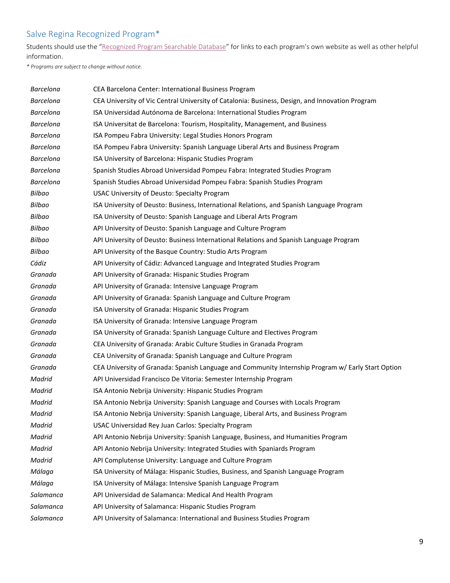Students should use the "[Recognized Program Searchable Database](http://www.salve.edu/recognized-semester-study-abroad-programs)" for links to each program's own website as well as other helpful information.

*\* Programs are subject to change without notice.*

| <b>Barcelona</b> | CEA Barcelona Center: International Business Program                                               |
|------------------|----------------------------------------------------------------------------------------------------|
| <b>Barcelona</b> | CEA University of Vic Central University of Catalonia: Business, Design, and Innovation Program    |
| <b>Barcelona</b> | ISA Universidad Autónoma de Barcelona: International Studies Program                               |
| <b>Barcelona</b> | ISA Universitat de Barcelona: Tourism, Hospitality, Management, and Business                       |
| <b>Barcelona</b> | ISA Pompeu Fabra University: Legal Studies Honors Program                                          |
| <b>Barcelona</b> | ISA Pompeu Fabra University: Spanish Language Liberal Arts and Business Program                    |
| <b>Barcelona</b> | ISA University of Barcelona: Hispanic Studies Program                                              |
| <b>Barcelona</b> | Spanish Studies Abroad Universidad Pompeu Fabra: Integrated Studies Program                        |
| <b>Barcelona</b> | Spanish Studies Abroad Universidad Pompeu Fabra: Spanish Studies Program                           |
| Bilbao           | USAC University of Deusto: Specialty Program                                                       |
| Bilbao           | ISA University of Deusto: Business, International Relations, and Spanish Language Program          |
| Bilbao           | ISA University of Deusto: Spanish Language and Liberal Arts Program                                |
| Bilbao           | API University of Deusto: Spanish Language and Culture Program                                     |
| Bilbao           | API University of Deusto: Business International Relations and Spanish Language Program            |
| Bilbao           | API University of the Basque Country: Studio Arts Program                                          |
| Cádiz            | API University of Cádiz: Advanced Language and Integrated Studies Program                          |
| Granada          | API University of Granada: Hispanic Studies Program                                                |
| Granada          | API University of Granada: Intensive Language Program                                              |
| Granada          | API University of Granada: Spanish Language and Culture Program                                    |
| Granada          | ISA University of Granada: Hispanic Studies Program                                                |
| Granada          | ISA University of Granada: Intensive Language Program                                              |
| Granada          | ISA University of Granada: Spanish Language Culture and Electives Program                          |
| Granada          | CEA University of Granada: Arabic Culture Studies in Granada Program                               |
| Granada          | CEA University of Granada: Spanish Language and Culture Program                                    |
| Granada          | CEA University of Granada: Spanish Language and Community Internship Program w/ Early Start Option |
| Madrid           | API Universidad Francisco De Vitoria: Semester Internship Program                                  |
| Madrid           | ISA Antonio Nebrija University: Hispanic Studies Program                                           |
| Madrid           | ISA Antonio Nebrija University: Spanish Language and Courses with Locals Program                   |
| Madrid           | ISA Antonio Nebrija University: Spanish Language, Liberal Arts, and Business Program               |
| Madrid           | USAC Universidad Rey Juan Carlos: Specialty Program                                                |
| Madrid           | API Antonio Nebrija University: Spanish Language, Business, and Humanities Program                 |
| Madrid           | API Antonio Nebrija University: Integrated Studies with Spaniards Program                          |
| Madrid           | API Complutense University: Language and Culture Program                                           |
| Málaga           | ISA University of Málaga: Hispanic Studies, Business, and Spanish Language Program                 |
| Málaga           | ISA University of Málaga: Intensive Spanish Language Program                                       |
| Salamanca        | API Universidad de Salamanca: Medical And Health Program                                           |
| Salamanca        | API University of Salamanca: Hispanic Studies Program                                              |
| Salamanca        | API University of Salamanca: International and Business Studies Program                            |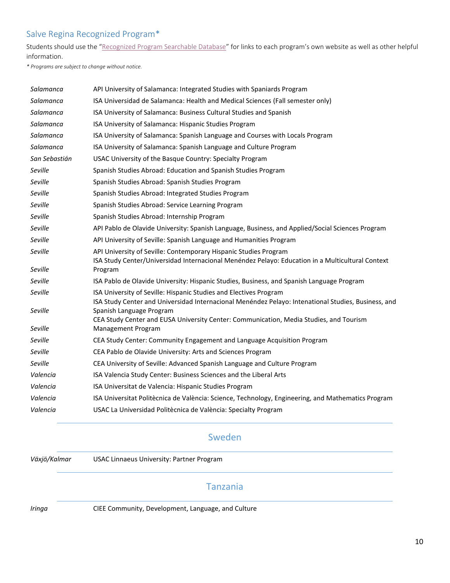Students should use the "[Recognized Program Searchable Database](http://www.salve.edu/recognized-semester-study-abroad-programs)" for links to each program's own website as well as other helpful information.

*\* Programs are subject to change without notice.*

| Salamanca     | API University of Salamanca: Integrated Studies with Spaniards Program                                             |
|---------------|--------------------------------------------------------------------------------------------------------------------|
| Salamanca     | ISA Universidad de Salamanca: Health and Medical Sciences (Fall semester only)                                     |
| Salamanca     | ISA University of Salamanca: Business Cultural Studies and Spanish                                                 |
| Salamanca     | ISA University of Salamanca: Hispanic Studies Program                                                              |
| Salamanca     | ISA University of Salamanca: Spanish Language and Courses with Locals Program                                      |
| Salamanca     | ISA University of Salamanca: Spanish Language and Culture Program                                                  |
| San Sebastián | USAC University of the Basque Country: Specialty Program                                                           |
| Seville       | Spanish Studies Abroad: Education and Spanish Studies Program                                                      |
| Seville       | Spanish Studies Abroad: Spanish Studies Program                                                                    |
| Seville       | Spanish Studies Abroad: Integrated Studies Program                                                                 |
| Seville       | Spanish Studies Abroad: Service Learning Program                                                                   |
| Seville       | Spanish Studies Abroad: Internship Program                                                                         |
| Seville       | API Pablo de Olavide University: Spanish Language, Business, and Applied/Social Sciences Program                   |
| Seville       | API University of Seville: Spanish Language and Humanities Program                                                 |
| Seville       | API University of Seville: Contemporary Hispanic Studies Program                                                   |
|               | ISA Study Center/Universidad Internacional Menéndez Pelayo: Education in a Multicultural Context                   |
| Seville       | Program                                                                                                            |
| Seville       | ISA Pablo de Olavide University: Hispanic Studies, Business, and Spanish Language Program                          |
| Seville       | ISA University of Seville: Hispanic Studies and Electives Program                                                  |
|               | ISA Study Center and Universidad Internacional Menéndez Pelayo: Intenational Studies, Business, and                |
| Seville       | Spanish Language Program<br>CEA Study Center and EUSA University Center: Communication, Media Studies, and Tourism |
| Seville       | Management Program                                                                                                 |
| Seville       | CEA Study Center: Community Engagement and Language Acquisition Program                                            |
| Seville       | CEA Pablo de Olavide University: Arts and Sciences Program                                                         |
| Seville       | CEA University of Seville: Advanced Spanish Language and Culture Program                                           |
| Valencia      | ISA Valencia Study Center: Business Sciences and the Liberal Arts                                                  |
| Valencia      | ISA Universitat de Valencia: Hispanic Studies Program                                                              |
| Valencia      | ISA Universitat Politècnica de València: Science, Technology, Engineering, and Mathematics Program                 |
| Valencia      | USAC La Universidad Politècnica de València: Specialty Program                                                     |

### Sweden

*Växjö/Kalmar* USAC Linnaeus University: Partner Program

### Tanzania

*Iringa* CIEE Community, Development, Language, and Culture